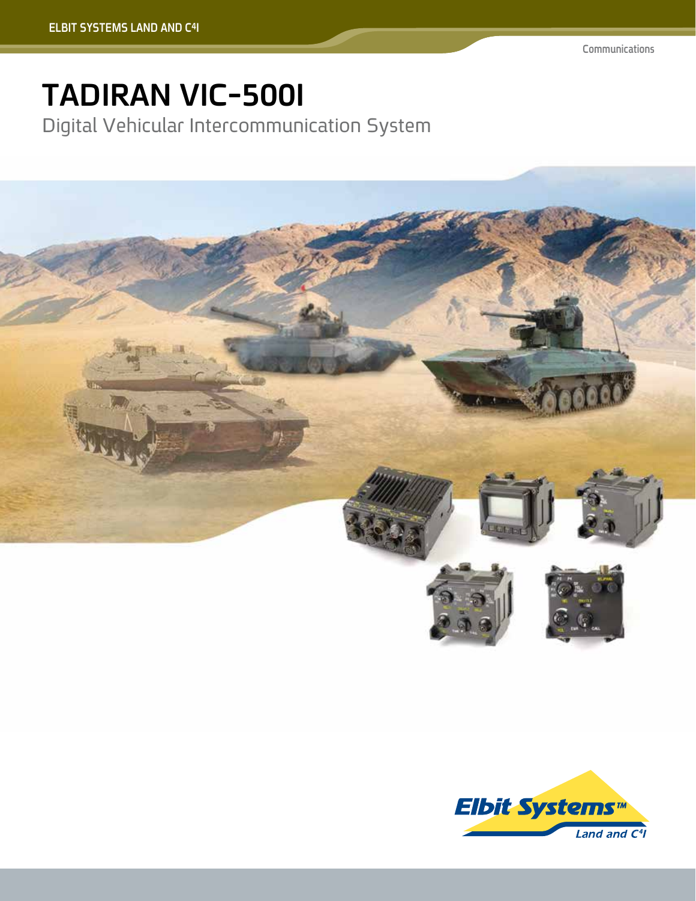## **TADIRAN VIC-500I**

Digital Vehicular Intercommunication System



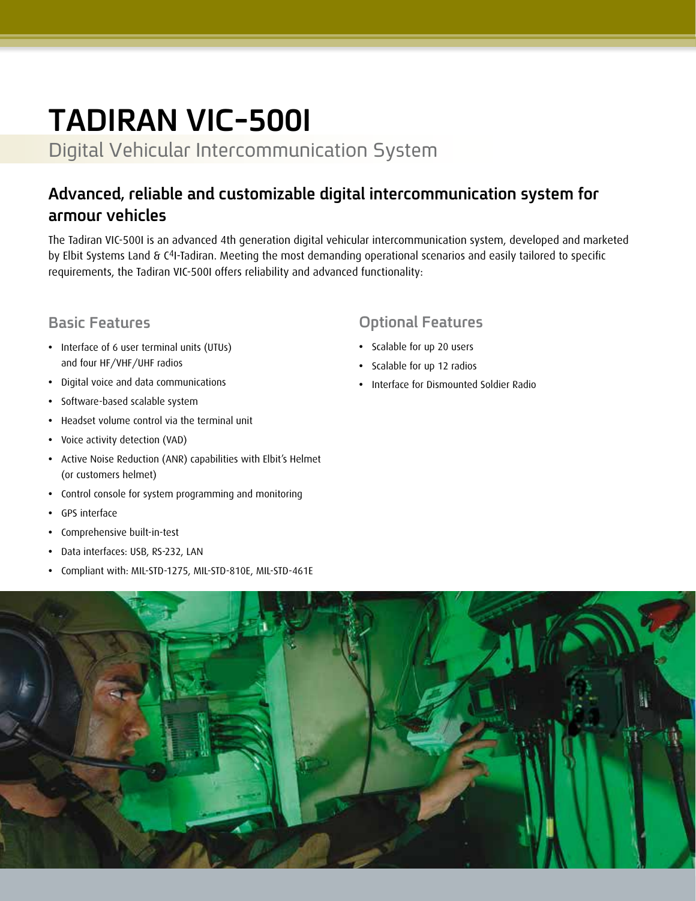# **TADIRAN VIC-500I**

Digital Vehicular Intercommunication System

### **Advanced, reliable and customizable digital intercommunication system for armour vehicles**

The Tadiran VIC-500I is an advanced 4th generation digital vehicular intercommunication system, developed and marketed by Elbit Systems Land & C<sup>4</sup>I-Tadiran. Meeting the most demanding operational scenarios and easily tailored to specific requirements, the Tadiran VIC-500I offers reliability and advanced functionality:

#### **Basic Features**

- **•** Interface of 6 user terminal units (UTUs) and four HF/VHF/UHF radios
- **•** Digital voice and data communications
- **•** Software-based scalable system
- **•** Headset volume control via the terminal unit
- **•** Voice activity detection (VAD)
- **•** Active Noise Reduction (ANR) capabilities with Elbit's Helmet (or customers helmet)
- **•** Control console for system programming and monitoring
- **•** GPS interface
- **•** Comprehensive built-in-test
- **•** Data interfaces: USB, RS-232, LAN
- **•** Compliant with: MIL-STD-1275, MIL-STD-810E, MIL-STD-461E

#### **Optional Features**

- **•** Scalable for up 20 users
- **•** Scalable for up 12 radios
- **•** Interface for Dismounted Soldier Radio

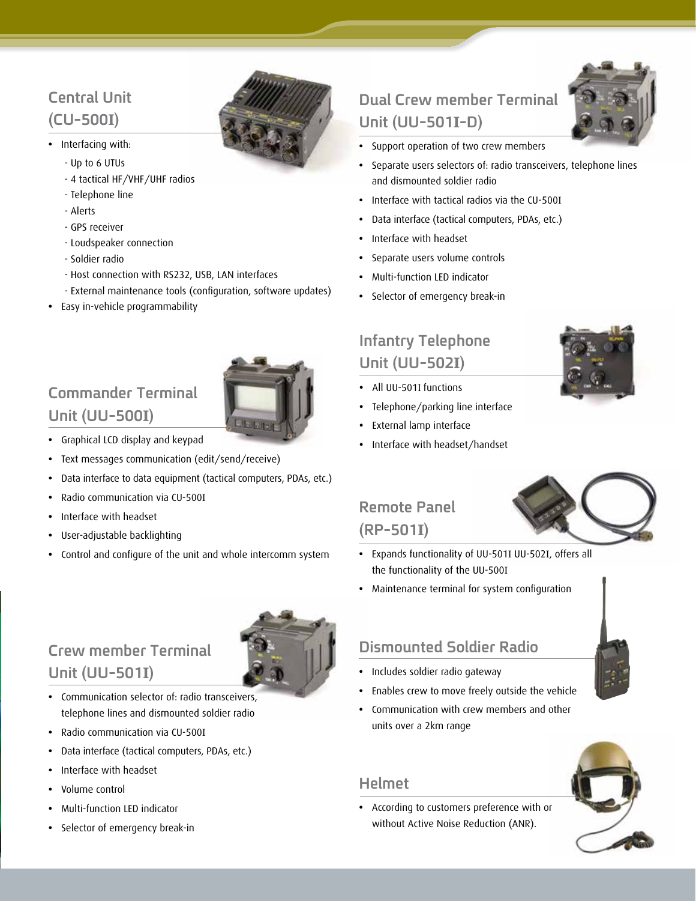#### **Central Unit (CU-500I)**

- **•** Interfacing with:
	- Up to 6 UTUs
	- 4 tactical HF/VHF/UHF radios
	- Telephone line
	- Alerts
	- GPS receiver
	- Loudspeaker connection
	- Soldier radio
	- Host connection with RS232, USB, LAN interfaces
	- External maintenance tools (configuration, software updates)
- **•** Easy in-vehicle programmability

### **Commander Terminal Unit (UU-500I)**



- **•** Graphical LCD display and keypad
- **•** Text messages communication (edit/send/receive)
- **•** Data interface to data equipment (tactical computers, PDAs, etc.)
- **•** Radio communication via CU-500I
- **•** Interface with headset
- **•** User-adjustable backlighting
- **•** Control and configure of the unit and whole intercomm system

#### **Crew member Terminal Unit (UU-501I)**

- **•** Communication selector of: radio transceivers, telephone lines and dismounted soldier radio
- **•** Radio communication via CU-500I
- **•** Data interface (tactical computers, PDAs, etc.)
- **•** Interface with headset
- **•** Volume control
- **•** Multi-function LED indicator
- **•** Selector of emergency break-in

### **Dual Crew member Terminal Unit (UU-501I-D)**



- **•** Support operation of two crew members
- **•** Separate users selectors of: radio transceivers, telephone lines and dismounted soldier radio
- **•** Interface with tactical radios via the CU-500I
- **•** Data interface (tactical computers, PDAs, etc.)
- **•** Interface with headset
- **•** Separate users volume controls
- **•** Multi-function LED indicator
- **•** Selector of emergency break-in

#### **Infantry Telephone Unit (UU-502I)**

- **•** All UU-501I functions
- **•** Telephone/parking line interface
- **•** External lamp interface
- **•** Interface with headset/handset

## **Remote Panel**



## **(RP-501I)**

- **•** Expands functionality of UU-501I UU-502I, offers all the functionality of the UU-500I
- **•** Maintenance terminal for system configuration

#### **Dismounted Soldier Radio**

- **•** Includes soldier radio gateway
- **•** Enables crew to move freely outside the vehicle
- **•** Communication with crew members and other units over a 2km range

#### **Helmet**

**•** According to customers preference with or without Active Noise Reduction (ANR).